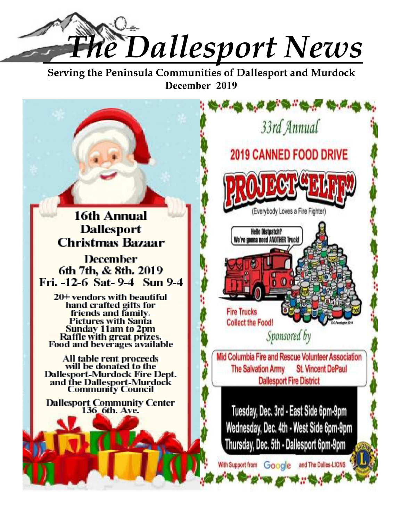

**Serving the Peninsula Communities of Dallesport and Murdock December 2019**

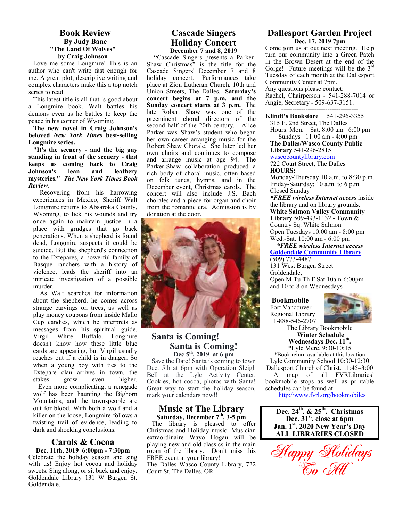### **Book Review By Judy Bane "The Land Of Wolves" by Craig Johnson**

Love me some Longmire! This is an author who can't write fast enough for me. A great plot, descriptive writing and complex characters make this a top notch series to read.

This latest title is all that is good about a Longmire book. Walt battles his demons even as he battles to keep the peace in his corner of Wyoming.

**The new novel in Craig Johnson's beloved** *New York Times* **best-selling Longmire series.**

**"It's the scenery - and the big guy standing in front of the scenery - that keeps us coming back to Craig Johnson's lean and leathery mysteries."** *The New York Times Book Review.* 

 Recovering from his harrowing experiences in Mexico, Sheriff Walt Longmire returns to Absaroka County, Wyoming, to lick his wounds and try once again to maintain justice in a place with grudges that go back generations. When a shepherd is found dead, Longmire suspects it could be suicide. But the shepherd's connection to the Extepares, a powerful family of Basque ranchers with a history of violence, leads the sheriff into an intricate investigation of a possible murder.

 As Walt searches for information about the shepherd, he comes across strange carvings on trees, as well as play money coupons from inside Mallo Cup candies, which he interprets as messages from his spiritual guide, Virgil White Buffalo. Longmire doesn't know how these little blue cards are appearing, but Virgil usually reaches out if a child is in danger. So when a young boy with ties to the Extepare clan arrives in town, the stakes grow even higher. Even more complicating, a renegade wolf has been haunting the Bighorn Mountains, and the townspeople are out for blood. With both a wolf and a killer on the loose, Longmire follows a twisting trail of evidence, leading to dark and shocking conclusions.

### **Carols & Cocoa Dec. 11th, 2019 6:00pm - 7:30pm**

Celebrate the holiday season and sing with us! Enjoy hot cocoa and holiday sweets. Sing along, or sit back and enjoy. Goldendale Library 131 W Burgen St. Goldendale.

### **Cascade Singers Holiday Concert December 7 and 8, 2019**

**"**Cascade Singers presents a Parker-Shaw Christmas" is the title for the Cascade Singers' December 7 and 8 holiday concert. Performances take place at Zion Lutheran Church, 10th and Union Streets, The Dalles. **Saturday's concert begins at 7 p.m. and the Sunday concert starts at 3 p.m.** The late Robert Shaw was one of the preeminent choral directors of the second half of the 20th century. Alice Parker was Shaw's student who began her own career arranging music for the Robert Shaw Chorale. She later led her own choirs and continues to compose and arrange music at age 94. The Parker-Shaw collaboration produced a rich body of choral music, often based on folk tunes, hymns, and in the December event, Christmas carols. The concert will also include J.S. Bach chorales and a piece for organ and choir from the romantic era. Admission is by donation at the door.



### **Santa is Coming! Santa is Coming! Dec 5th. 2019 at 6 pm**

Save the Date! Santa is coming to town Dec. 5th at 6pm with Operation Sleigh Bell at the Lyle Activity Center. Cookies, hot cocoa, photos with Santa! Great way to start the holiday season, mark your calendars now!!

### **Music at The Library Saturday, December 7th, 3-5 pm**

The library is pleased to offer Christmas and Holiday music. Musician extraordinaire Wayo Hogan will be playing new and old classics in the main room of the library. Don't miss this FREE event at your library! The Dalles Wasco County Library, 722 Court St, The Dalles, OR.

### **Dallesport Garden Project Dec. 17, 2019 7pm**

Come join us at out next meeting. Help turn our community into a Green Patch in the Brown Desert at the end of the Gorge! Future meetings will be the  $3<sup>rd</sup>$ Tuesday of each month at the Dallesport Community Center at 7pm. Any questions please contact: Rachel, Chairperson - 541-288-7014 or Angie, Secretary - 509-637-3151.

**----------------------------------- Klindt's Bookstore** 541-296-3355 315 E. 2nd Street, The Dalles Hours: Mon. – Sat. 8:00 am– 6:00 pm

 Sundays 11:00 am - 4:00 pm **The Dalles/Wasco County Public** 

**Library** 541-296-2815 wascocountylibrary.com

722 Court Street, The Dalles **HOURS:** 

Monday-Thursday 10 a.m. to 8:30 p.m. Friday-Saturday: 10 a.m. to 6 p.m. Closed Sunday

*\*FREE wireless Internet access* inside the library and on library grounds. **White Salmon Valley Community Library** 509-493-1132 - Town & Country Sq. White Salmon Open Tuesdays 10:00 am - 8:00 pm Wed.-Sat. 10:00 am - 6:00 pm

 *\*FREE wireless Internet access*  **Goldendale Community Library**  (509) 773-4487

131 West Burgen Street Goldendale, Open M Tu Th F Sat 10am-6:00pm and 10 to 8 on Wednesdays

**Bookmobile** 

Fort Vancouver Regional Library 1-888-546-2707



The Library Bookmobile  **Winter Schedule Wednesdays Dec. 11th .**  \*Lyle Merc. 9:30-10:15

\*Book return available at this location Lyle Community School 10:30-12:30 Dallesport Church of Christ…1:45–3:00

 A map of all FVRLibraries' bookmobile stops as well as printable schedules can be found at

http://www.fvrl.org/bookmobiles

**Dec. 24th. & 25th. Christmas Dec. 31st. close at 6pm Jan. 1st. 2020 New Year's Day ALL LIBRARIES CLOSED** 

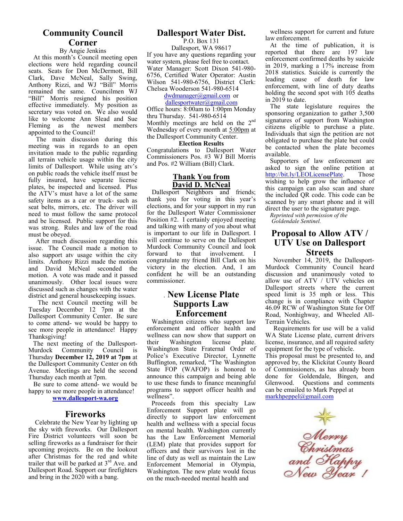### **Community Council Corner**

### By Angie Jenkins

 At this month's Council meeting open elections were held regarding council seats. Seats for Don McDermott, Bill Clark, Dave McNeal, Sally Swing, Anthony Rizzi, and WJ "Bill" Morris remained the same. Councilmen WJ "Bill" Morris resigned his position effective immediately. My position as secretary was voted on. We also would like to welcome Ann Slead and Sue Fleming as the newest members appointed to the Council!

 The main discussion during this meeting was in regards to an open invitation made to the public regarding all terrain vehicle usage within the city limits of Dallesport. While using atv's on public roads the vehicle itself must be fully insured, have separate license plates, be inspected and licensed. Plus the ATV's must have a lot of the same safety items as a car or truck- such as seat belts, mirrors, etc. The driver will need to must follow the same protocol and be licensed. Public support for this was strong. Rules and law of the road must be obeyed.

 After much discussion regarding this issue. The Council made a motion to also support atv usage within the city limits. Anthony Rizzi made the motion and David McNeal seconded the motion. A vote was made and it passed unanimously. Other local issues were discussed such as changes with the water district and general housekeeping issues.

 The next Council meeting will be Tuesday December 12 7pm at the Dallesport Community Center. Be sure to come attend- we would be happy to see more people in attendance! Happy Thanksgiving!

The next meeting of the Dallesport-Murdock Community Council is Thursday **December 12, 2019 at 7pm** at the Dallesport Community Center on 6th Avenue. Meetings are held the second Thursday each month at 7pm.

 Be sure to come attend- we would be happy to see more people in attendance!

### **www.dallesport-wa.org**

### **Fireworks**

 Celebrate the New Year by lighting up the sky with fireworks. Our Dallesport Fire District volunteers will soon be selling fireworks as a fundraiser for their upcoming projects. Be on the lookout after Christmas for the red and white trailer that will be parked at  $3<sup>rd</sup>$  Ave. and Dallesport Road. Support our firefighters and bring in the 2020 with a bang.

### **Dallesport Water Dist.**

P.O. Box 131 Dallesport, WA 98617 If you have any questions regarding your water system, please feel free to contact. Water Manager: Scott Dixon 541-980- 6756, Certified Water Operator: Austin Wilson 541-980-6756, District Clerk: Chelsea Wooderson 541-980-6514

### dwdmanager@gmail.com or

dallesportwater@gmail.com Office hours: 8:00am to 1:00pm Monday thru Thursday. 541-980-6514 Monthly meetings are held on the 2<sup>nd</sup> Wednesday of every month at 5:00pm at the Dallesport Community Center.

#### **Election Results**

Congratulations to Dallesport Water Commissioners Pos. #3 WJ Bill Morris and Pos. #2 William (Bill) Clark.

### **Thank You from David D. McNeal**

 Dallesport Neighbors and friends; thank you for voting in this year's elections, and for your support in my run for the Dallesport Water Commissioner Position #2. I certainly enjoyed meeting and talking with many of you about what is important to our life in Dallesport. I will continue to serve on the Dallesport Murdock Community Council and look<br>forward to that involvement. I forward to that congratulate my friend Bill Clark on his victory in the election. And, I am confident he will be an outstanding commissioner.

### . **New License Plate Supports Law Enforcement**

Washington citizens who support law enforcement and officer health and wellness can now show that support on their Washington license plate. Washington State Fraternal Order of Police's Executive Director, Lynnette Buffington, remarked, "The Washington State FOP (WAFOP) is honored to announce this campaign and being able to use these funds to finance meaningful programs to support officer health and wellness".

Proceeds from this specialty Law Enforcement Support plate will go directly to support law enforcement health and wellness with a special focus on mental health. Washington currently has the Law Enforcement Memorial (LEM) plate that provides support for officers and their survivors lost in the line of duty as well as maintain the Law Enforcement Memorial in Olympia, Washington. The new plate would focus on the much-needed mental health and

wellness support for current and future law enforcement.

At the time of publication, it is reported that there are 197 law enforcement confirmed deaths by suicide in 2019, marking a 17% increase from 2018 statistics. Suicide is currently the leading cause of death for law enforcement, with line of duty deaths holding the second spot with 105 deaths in 2019 to date.

The state legislature requires the sponsoring organization to gather 3,500 signatures of support from Washington citizens eligible to purchase a plate. Individuals that sign the petition are not obligated to purchase the plate but could be contacted when the plate becomes available.

Supporters of law enforcement are asked to sign the online petition at http://bit.ly/LEOLicensePlate. Those wishing to help grow the influence of this campaign can also scan and share the included QR code. This code can be scanned by any smart phone and it will direct the user to the signature page.

*Reprinted with permission of the Goldendale Sentinel.*

### **Proposal to Allow ATV / UTV Use on Dallesport Streets**

 November 14, 2019, the Dallesport-Murdock Community Council heard discussion and unanimously voted to allow use of ATV / UTV vehicles on Dallesport streets where the current speed limit is 35 mph or less. This change is in compliance with Chapter 46.09 RCW of Washington State for Off Road, Nonhighway, and Wheeled All-Terrain Vehicles.

 Requirements for use will be a valid WA State License plate, current drivers license, insurance, and all required safety equipment for the type of vehicle.

This proposal must be presented to, and approved by, the Klickitat County Board of Commissioners, as has already been done for Goldendale, Bingen, and<br>Glenwood. Ouestions and comments Questions and comments can be emailed to Mark Peppel at markhpeppel@gmail.com

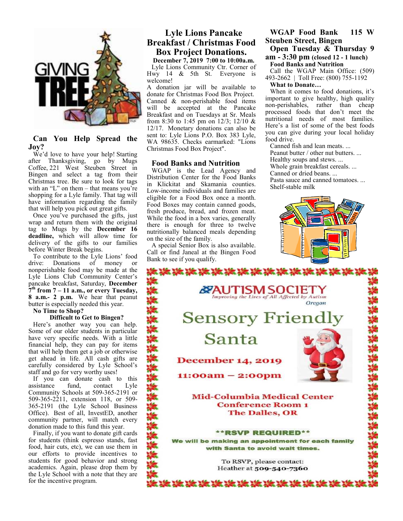

### **Can You Help Spread the Joy?**

We'd love to have your help! Starting after Thanksgiving, go by Mugs Coffee, 221 West Steuben Street in Bingen and select a tag from their Christmas tree. Be sure to look for tags with an "L" on them – that means you're shopping for a Lyle family. That tag will have information regarding the family that will help you pick out great gifts.

Once you've purchased the gifts, just wrap and return them with the original tag to Mugs by the **December 16 deadline,** which will allow time for delivery of the gifts to our families before Winter Break begins.

To contribute to the Lyle Lions' food drive: Donations of money or nonperishable food may be made at the Lyle Lions Club Community Center's pancake breakfast, Saturday, **December 7 th from 7 – 11 a.m., or every Tuesday, 8 a.m.- 2 p.m.** We hear that peanut butter is especially needed this year. **No Time to Shop?** 

### **Difficult to Get to Bingen?**

Here's another way you can help. Some of our older students in particular have very specific needs. With a little financial help, they can pay for items that will help them get a job or otherwise get ahead in life. All cash gifts are carefully considered by Lyle School's staff and go for very worthy uses!

If you can donate cash to this assistance fund, contact Lyle Community Schools at 509-365-2191 or 509-365-2211, extension 118, or 509- 365-2191 (the Lyle School Business Office). Best of all, InvestED, another community partner, will match every donation made to this fund this year.

Finally, if you want to donate gift cards for students (think espresso stands, fast food, hair cuts, etc), we can use them in our efforts to provide incentives to students for good behavior and strong academics. Again, please drop them by the Lyle School with a note that they are for the incentive program.

# **Lyle Lions Pancake Breakfast / Christmas Food Box Project Donations.**

**December 7, 2019 7:00 to 10:00a.m.**

Lyle Lions Community Ctr. Corner of Hwy 14 & 5th St. Everyone is welcome!

A donation jar will be available to donate for Christmas Food Box Project. Canned & non-perishable food items will be accepted at the Pancake Breakfast and on Tuesdays at Sr. Meals from 8:30 to 1:45 pm on 12/3; 12/10 & 12/17. Monetary donations can also be sent to: Lyle Lions P.O. Box 383 Lyle, WA 98635. Checks earmarked: "Lions Christmas Food Box Project".

### **Food Banks and Nutrition**

WGAP is the Lead Agency and Distribution Center for the Food Banks in Klickitat and Skamania counties. Low-income individuals and families are eligible for a Food Box once a month. Food Boxes may contain canned goods, fresh produce, bread, and frozen meat. While the food in a box varies, generally there is enough for three to twelve nutritionally balanced meals depending on the size of the family.

A special Senior Box is also available. Call or find Janeal at the Bingen Food Bank to see if you qualify.

### **WGAP Food Bank 115 W Steuben Street, Bingen Open Tuesday & Thursday 9**

**am - 3:30 pm (closed 12 - 1 lunch) Food Banks and Nutrition** 

Call the WGAP Main Office: (509) 493-2662 | Toll Free: (800) 755-1192

**What to Donate…**

When it comes to food donations, it's important to give healthy, high quality non-perishables, rather than cheap processed foods that don't meet the nutritional needs of most families. Here's a list of some of the best foods you can give during your local holiday food drive.

Canned fish and lean meats. ... Peanut butter / other nut butters. ... Healthy soups and stews. ... Whole grain breakfast cereals. ... Canned or dried beans. ... Pasta sauce and canned tomatoes. ... Shelf-stable milk



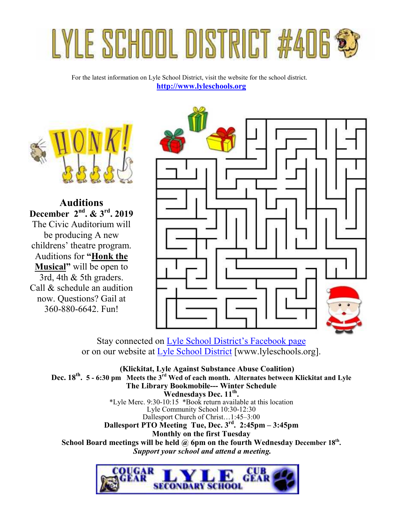# LYLE SCHOOL DISTRICT #406

For the latest information on Lyle School District, visit the website for the school district. **http://www.lyleschools.org**



**Auditions December 2nd. & 3rd. 2019**  The Civic Auditorium will be producing A new childrens' theatre program. Auditions for **"Honk the Musical"** will be open to 3rd, 4th & 5th graders. Call & schedule an audition now. Questions? Gail at 360-880-6642. Fun!



Stay connected on Lyle School District's Facebook page or on our website at Lyle School District [www.lyleschools.org].

 **(Klickitat, Lyle Against Substance Abuse Coalition) Dec. 18th . 5 - 6:30 pm Meets the 3rd Wed of each month. Alternates between Klickitat and Lyle The Library Bookmobile--- Winter Schedule Wednesdays Dec. 11th .**  \*Lyle Merc. 9:30-10:15 \*Book return available at this location Lyle Community School 10:30-12:30 Dallesport Church of Christ…1:45–3:00 **Dallesport PTO Meeting Tue, Dec. 3rd. 2:45pm – 3:45pm Monthly on the first Tuesday School Board meetings will be held @ 6pm on the fourth Wednesday December 18th .**  *Support your school and attend a meeting.* 

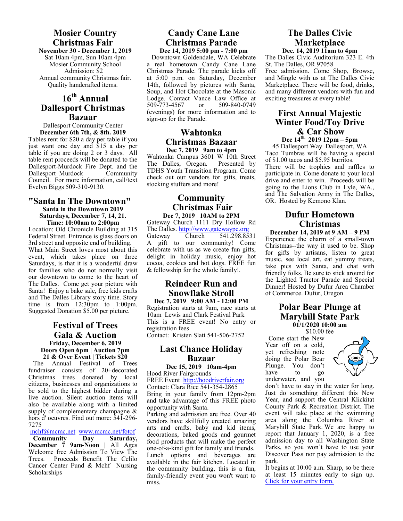# **Mosier Country Christmas Fair**

**November 30 - December 1, 2019**  Sat 10am 4pm, Sun 10am 4pm Mosier Community School Admission: \$2 Annual community Christmas fair. Quality handcrafted items.

### **16th Annual Dallesport Christmas Bazaar**

Dallesport Community Center **December 6th 7th, & 8th. 2019**  Tables rent for \$20 a day per table if you just want one day and \$15 a day per table if you are doing 2 or 3 days. All table rent proceeds will be donated to the Dallesport-Murdock Fire Dept. and the Dallesport–Murdock Community Council. For more information, call/text Evelyn Biggs 509-310-9130.

### **"Santa In The Downtown" Santa in the Downtown 2019 Saturdays, December 7, 14, 21. Time: 10:00am to 2:00pm**

Location: Old Chronicle Building at 315 Federal Street. Entrance is glass doors on 3rd street and opposite end of building. What Main Street loves most about this event, which takes place on three Saturdays, is that it is a wonderful draw for families who do not normally visit our downtown to come to the heart of The Dalles. Come get your picture with Santa! Enjoy a bake sale, free kids crafts and The Dalles Library story time. Story time is from 12:30pm to 1:00pm. Suggested Donation \$5.00 per picture.

### **Festival of Trees Gala & Auction Friday, December 6, 2019 Doors Open 6pm | Auction 7pm 21 & Over Event | Tickets \$20**

The Annual Festival of Trees fundraiser consists of 20+decorated Christmas trees donated by local citizens, businesses and organizations to be sold to the highest bidder during a live auction. Silent auction items will also be available along with a limited supply of complementary champagne & hors d' oeuvres. Find out more: 541-296- 7275

mchf@mcmc.net www.mcmc.net/fotof<br>Community Day Saturday,

**Community December 7 9am-Noon** | All Ages Welcome free Admission To View The Trees. Proceeds Benefit The Celilo Cancer Center Fund & Mchf Nursing **Scholarships** 

### **Candy Cane Lane Christmas Parade Dec 14, 2019 5:00 pm - 7:00 pm**

Downtown Goldendale, WA Celebrate a real hometown Candy Cane Lane Christmas Parade. The parade kicks off at 5:00 p.m. on Saturday, December 14th, followed by pictures with Santa, Soup, and Hot Chocolate at the Masonic Lodge. Contact Vance Law Office at 509-773-4567 or 509-840-0749  $509 - 773 - 4567$ (evenings) for more information and to sign-up for the Parade.

### **Wahtonka Christmas Bazaar Dec 7, 2019 9am to 4pm**

Wahtonka Campus 3601 W 10th Street<br>The Dalles, Oregon. Presented by The Dalles, Oregon. TDHS Youth Transition Program. Come check out our vendors for gifts, treats, stocking stuffers and more!

### **Community Christmas Fair Dec 7, 2019 10AM to 2PM**

Gateway Church 1111 Dry Hollow Rd The Dalles. http://www.gatewaypc.org<br>Gateway Church 541.298.85 Gateway Church 541.298.8531 A gift to our community! Come celebrate with us as we create fun gifts, delight in holiday music, enjoy hot cocoa, cookies and hot dogs. FREE fun & fellowship for the whole family!.

# **Reindeer Run and Snowflake Stroll**

**Dec 7, 2019 9:00 AM - 12:00 PM**  Registration starts at 9am, race starts at 10am Lewis and Clark Festival Park This is a FREE event! No entry or registration fees

Contact:Kristen Slatt 541-506-2752

# **Last Chance Holiday Bazaar**

**Dec 15, 2019 10am-4pm**  Hood River Fairgrounds

FREE Event http://hoodriverfair.org Contact: Clara Rice 541-354-2865 Bring in your family from 12pm-2pm

and take advantage of this FREE photo opportunity with Santa.

Parking and admission are free. Over 40 vendors have skillfully created amazing arts and crafts, baby and kid items, decorations, baked goods and gourmet food products that will make the perfect one-of-a-kind gift for family and friends. Lunch options and beverages are available in the fair kitchen. Located in the community building, this is a fun, family-friendly event you won't want to miss.

### **The Dalles Civic Marketplace Dec. 14, 2019 11am to 4pm**

The Dalles Civic Auditorium 323 E. 4th St. The Dalles, OR 97058 Free admission. Come Shop, Browse, and Mingle with us at The Dalles Civic Marketplace. There will be food, drinks, and many different vendors with fun and exciting treasures at every table!

### **First Annual Majestic Winter Food/Toy Drive & Car Show Dec 14th. 2019 12pm – 5pm**

45 Dallesport Way Dallesport, WA Taco Tumbras will be having a special of \$1.00 tacos and \$5.95 burritos. There will be trophies and raffles to participate in. Come donate to your local drive and enter to win. Proceeds will be going to the Lions Club in Lyle, WA., and The Salvation Army in The Dalles, OR. Hosted by Kemono Klan.

### **Dufur Hometown Christmas**

**December 14, 2019 at 9 AM – 9 PM**  Experience the charm of a small-town Christmas--the way it used to be. Shop for gifts by artisans, listen to great music, see local art, eat yummy treats, take pics with Santa, and chat with friendly folks. Be sure to stick around for the Lighted Tractor Parade and Special Dinner! Hosted by Dufur Area Chamber of Commerce. Dufur, Oregon

### **Polar Bear Plunge at Maryhill State Park 01/1/2020 10:00 am**

\$10.00 fee

 Come start the New Year off on a cold, yet refreshing note doing the Polar Bear Plunge. You don't<br>have to go have underwater, and you



don't have to stay in the water for long. Just do something different this New Year, and support the Central Klickitat County Park & Recreation District. The event will take place at the swimming area along the Columbia River at Maryhill State Park. We are happy to report that January 1, 2020, is a free admission day to all Washington State Parks, so you won't have to use your Discover Pass nor pay admission to the park.

It begins at 10:00 a.m. Sharp, so be there at least 15 minutes early to sign up. Click for your entry form.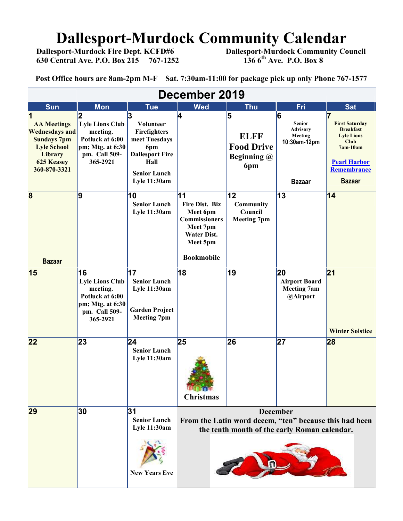# **Dallesport-Murdock Community Calendar**<br>Dallesport-Murdock Fire Dept. KCFD#6 Dallesport-Murdock Community Co

 **630 Central Ave. P.O. Box 215 767-1252** 

 **Dallesport-Murdock Community Council 136 6<sup>th</sup> Ave. P.O. Box 8** 

**Post Office hours are 8am-2pm M-F Sat. 7:30am-11:00 for package pick up only Phone 767-1577**

| December 2019                                                                                                                           |                                                                                                              |                                                                                                                                        |                                                                                                                                    |                                                             |                                                                                    |                                                                                                                                                           |
|-----------------------------------------------------------------------------------------------------------------------------------------|--------------------------------------------------------------------------------------------------------------|----------------------------------------------------------------------------------------------------------------------------------------|------------------------------------------------------------------------------------------------------------------------------------|-------------------------------------------------------------|------------------------------------------------------------------------------------|-----------------------------------------------------------------------------------------------------------------------------------------------------------|
| <b>Sun</b>                                                                                                                              | <b>Mon</b>                                                                                                   | <b>Tue</b>                                                                                                                             | <b>Wed</b>                                                                                                                         | <b>Thu</b>                                                  | Fri                                                                                | <b>Sat</b>                                                                                                                                                |
| <b>AA Meetings</b><br><b>Wednesdays and</b><br><b>Sundays 7pm</b><br><b>Lyle School</b><br>Library<br><b>625 Keasey</b><br>360-870-3321 | <b>Lyle Lions Club</b><br>meeting.<br>Potluck at 6:00<br>$pm; Mtg.$ at $6:30$<br>pm. Call 509-<br>365-2921   | 3<br>Volunteer<br>Firefighters<br>meet Tuesdays<br>6pm<br><b>Dallesport Fire</b><br>Hall<br><b>Senior Lunch</b><br><b>Lyle 11:30am</b> | 4                                                                                                                                  | 5<br><b>ELFF</b><br><b>Food Drive</b><br>Beginning @<br>6pm | 16<br><b>Senior</b><br><b>Advisory</b><br>Meeting<br>10:30am-12pm<br><b>Bazaar</b> | <b>First Saturday</b><br><b>Breakfast</b><br><b>Lyle Lions</b><br><b>Club</b><br>$7am-10am$<br><b>Pearl Harbor</b><br><b>Remembrance</b><br><b>Bazaar</b> |
| $\overline{\mathbf{8}}$<br><b>Bazaar</b>                                                                                                | 9                                                                                                            | 10<br><b>Senior Lunch</b><br>Lyle 11:30am                                                                                              | 11<br><b>Fire Dist. Biz</b><br>Meet 6pm<br><b>Commissioners</b><br>Meet 7pm<br><b>Water Dist.</b><br>Meet 5pm<br><b>Bookmobile</b> | 12<br>Community<br>Council<br><b>Meeting 7pm</b>            | 13                                                                                 | 14                                                                                                                                                        |
| 15                                                                                                                                      | 16<br><b>Lyle Lions Club</b><br>meeting.<br>Potluck at 6:00<br>pm; Mtg. at 6:30<br>pm. Call 509-<br>365-2921 | 17<br><b>Senior Lunch</b><br>Lyle 11:30am<br><b>Garden Project</b><br><b>Meeting 7pm</b>                                               | 18                                                                                                                                 | 19                                                          | 20<br><b>Airport Board</b><br><b>Meeting 7am</b><br>@Airport                       | 21<br><b>Winter Solstice</b>                                                                                                                              |
| 22                                                                                                                                      | 23                                                                                                           | 24<br><b>Senior Lunch</b><br>Lyle 11:30am                                                                                              | 25<br><b>Christmas</b>                                                                                                             | 26                                                          | 27                                                                                 | 28                                                                                                                                                        |
| 29                                                                                                                                      | 30                                                                                                           | 31<br><b>Senior Lunch</b><br><b>Lyle 11:30am</b><br><b>New Years Eve</b>                                                               | <b>December</b><br>From the Latin word decem, "ten" because this had been<br>the tenth month of the early Roman calendar.          |                                                             |                                                                                    |                                                                                                                                                           |